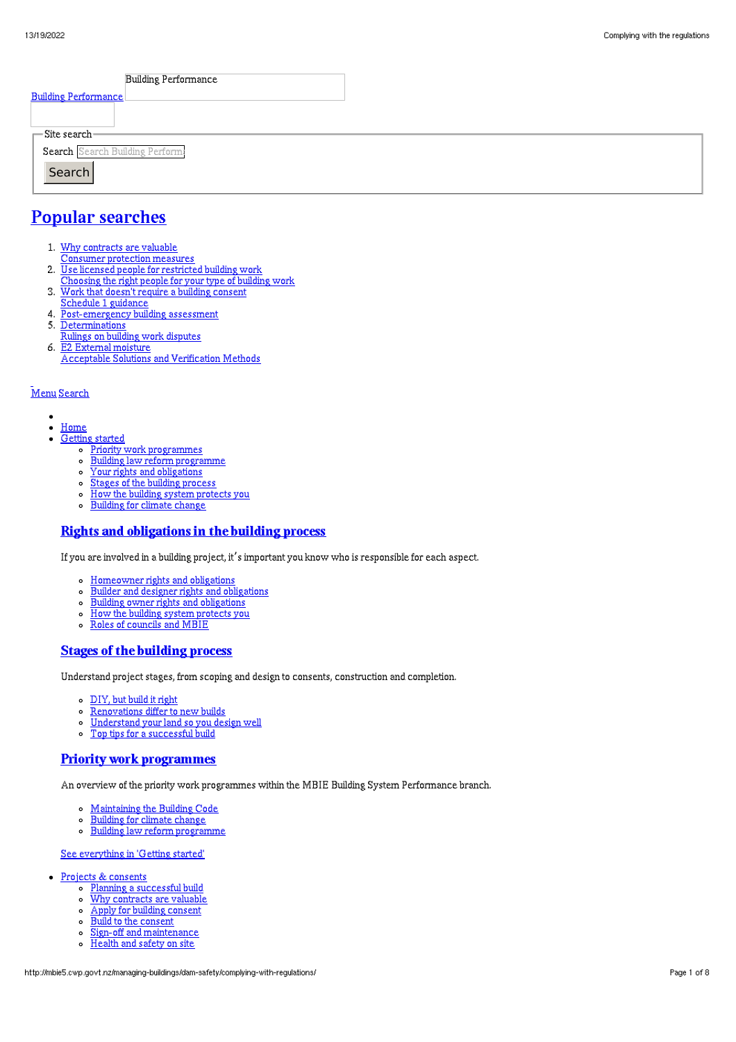| <b>Building Performance</b>          |  |
|--------------------------------------|--|
| <b>Building Performance</b>          |  |
|                                      |  |
| $\Gamma$ Site search-                |  |
| Search Search Building Perform       |  |
| Search                               |  |
| $\overline{\phantom{a}}$<br><u>_</u> |  |

# Popular [searches](http://mbie5.cwp.govt.nz/#)

- 1. Why contracts are valuable
	- Consumer protection measures
- 2. Use licensed people for restricted building work
- Choosing the right people for your type of building work
- 3. Work that doesn't require a building consent
- Schedule 1 guidance
- 4. Post-emergency building assessment
- 5. Determinations
- Rulings on building work disputes 6. E2 External moisture
	- Acceptable Solutions and Verification Methods

### [Menu](http://mbie5.cwp.govt.nz/#) [Search](http://mbie5.cwp.govt.nz/#)

- $\bullet$  $\bullet$ [Home](http://mbie5.cwp.govt.nz/)
- [Getting](http://mbie5.cwp.govt.nz/getting-started/) started
	- o Priority work [programmes](http://mbie5.cwp.govt.nz/getting-started/priority-work-programmes/)
	- Building law reform [programme](http://mbie5.cwp.govt.nz/getting-started/building-law-reforms/)
	- Your rights and [obligations](http://mbie5.cwp.govt.nz/getting-started/your-rights-and-obligations/)  $\circ$
	- o Stages of the building [process](http://mbie5.cwp.govt.nz/getting-started/stages-of-the-building-process/)
	- How the building system [protects](http://mbie5.cwp.govt.nz/getting-started/how-the-building-system-protects-you/) you  $\circ$
	- [Building](http://mbie5.cwp.govt.nz/getting-started/building-for-climate-change/) for climate change  $\circ$

### Rights and [obligations](http://mbie5.cwp.govt.nz/getting-started/your-rights-and-obligations/) in the building process

If you are involved in a building project, it's important you know who is responsible for each aspect.

- [Homeowner](http://mbie5.cwp.govt.nz/getting-started/your-rights-and-obligations/homeowner-rights-and-obligations/) rights and obligations
- Builder and designer rights and [obligations](http://mbie5.cwp.govt.nz/getting-started/your-rights-and-obligations/builder-and-designer-rights-and-obligations/)
- Building owner rights and [obligations](http://mbie5.cwp.govt.nz/getting-started/your-rights-and-obligations/building-owner-rights-and-obligations/)
- $\circ$ How the building system [protects](http://mbie5.cwp.govt.nz/getting-started/how-the-building-system-protects-you/) you
- Roles of [councils](http://mbie5.cwp.govt.nz/getting-started/how-the-building-system-protects-you/roles-of-councils-and-mbie/) and MBIE

### Stages of the [building](http://mbie5.cwp.govt.nz/getting-started/stages-of-the-building-process/) process

Understand project stages, from scoping and design to consents, construction and completion.

- [DIY,](http://mbie5.cwp.govt.nz/getting-started/stages-of-the-building-process/diy-but-build-it-right/) but build it right
- $\circ$ [Renovations](http://mbie5.cwp.govt.nz/getting-started/stages-of-the-building-process/renovations-differ-to-new-builds/) differ to new builds
- [Understand](http://mbie5.cwp.govt.nz/getting-started/stages-of-the-building-process/understand-your-land/) your land so you design well  $\circ$
- Top tips for a [successful](http://mbie5.cwp.govt.nz/getting-started/stages-of-the-building-process/top-tips-for-building/) build  $\circ$

### Priority work [programmes](http://mbie5.cwp.govt.nz/getting-started/priority-work-programmes/)

An overview of the priority work programmes within the MBIE Building System Performance branch.

- [Maintaining](http://mbie5.cwp.govt.nz/building-code-compliance/annual-building-code-updates/) the Building Code
- [Building](http://mbie5.cwp.govt.nz/getting-started/building-for-climate-change/) for climate change  $\circ$
- $\circ$ Building law reform [programme](http://mbie5.cwp.govt.nz/getting-started/building-law-reforms/)

#### See [everything](http://mbie5.cwp.govt.nz/getting-started/) in 'Getting started'

- Projects & [consents](http://mbie5.cwp.govt.nz/projects-and-consents/)
	- o Planning a [successful](http://mbie5.cwp.govt.nz/projects-and-consents/planning-a-successful-build/) build
	- o Why [contracts](http://mbie5.cwp.govt.nz/projects-and-consents/why-contracts-are-valuable/) are valuable
	- Apply for building [consent](http://mbie5.cwp.govt.nz/projects-and-consents/apply-for-building-consent/)
	- Build to the [consent](http://mbie5.cwp.govt.nz/projects-and-consents/build-to-the-consent/)
	- $\sim$ Sign-off and [maintenance](http://mbie5.cwp.govt.nz/projects-and-consents/sign-off-and-maintenance/)
	- $\circ$ [Health](http://mbie5.cwp.govt.nz/projects-and-consents/health-and-safety-on-site/) and safety on site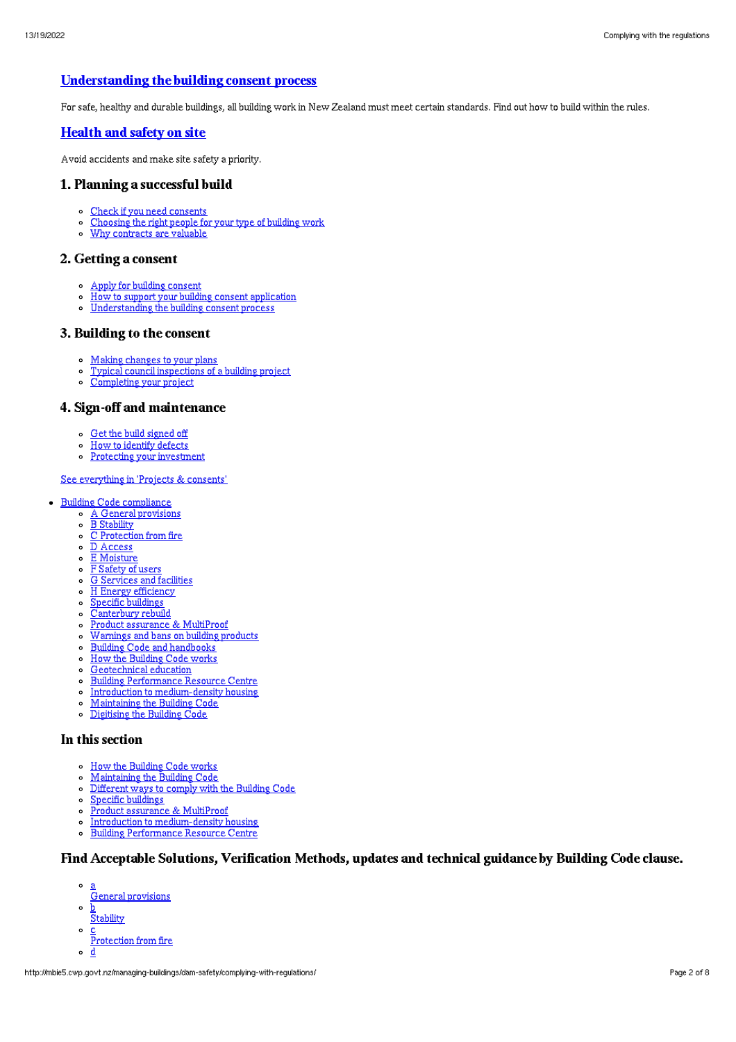## [Understanding](http://mbie5.cwp.govt.nz/projects-and-consents/apply-for-building-consent/building-consent-process/) the building consent process

For safe, healthy and durable buildings, all building work in New Zealand must meet certain standards. Find out how to build within the rules.

### [Health](http://mbie5.cwp.govt.nz/projects-and-consents/health-and-safety-on-site/) and safety on site

Avoid accidents and make site safety a priority.

### 1. Planning a successful build

- Check if you need [consents](http://mbie5.cwp.govt.nz/projects-and-consents/planning-a-successful-build/scope-and-design/check-if-you-need-consents/)
- [Choosing](http://mbie5.cwp.govt.nz/projects-and-consents/planning-a-successful-build/scope-and-design/choosing-the-right-people-for-your-type-of-building-work/) the right people for your type of building work
- Why [contracts](http://mbie5.cwp.govt.nz/projects-and-consents/why-contracts-are-valuable/) are valuable  $\circ$

### 2. Getting a consent

- Apply for building [consent](http://mbie5.cwp.govt.nz/projects-and-consents/apply-for-building-consent/)
- How to support your building consent [application](http://mbie5.cwp.govt.nz/projects-and-consents/apply-for-building-consent/support-your-consent-application/)  $\circ$
- o [Understanding](http://mbie5.cwp.govt.nz/projects-and-consents/apply-for-building-consent/building-consent-process/) the building consent process

### 3. Building to the consent

- Making [changes](http://mbie5.cwp.govt.nz/projects-and-consents/build-to-the-consent/making-changes-to-your-plans/) to your plans
- o Typical council [inspections](http://mbie5.cwp.govt.nz/projects-and-consents/build-to-the-consent/typical-council-inspections/) of a building project
- [Completing](http://mbie5.cwp.govt.nz/projects-and-consents/sign-off-and-maintenance/completing-your-project/) your project

### 4. Sign-off and maintenance

- Get the build [signed](http://mbie5.cwp.govt.nz/projects-and-consents/sign-off-and-maintenance/completing-your-project/get-the-build-signed-off/) off
- How to [identify](http://mbie5.cwp.govt.nz/projects-and-consents/sign-off-and-maintenance/completing-your-project/how-to-identify-defects/) defects
- o Protecting your [investment](http://mbie5.cwp.govt.nz/projects-and-consents/sign-off-and-maintenance/protecting-your-investment/)

#### See [everything](http://mbie5.cwp.govt.nz/projects-and-consents/) in 'Projects & consents'

- · Building Code [compliance](http://mbie5.cwp.govt.nz/building-code-compliance/)
	- A General [provisions](http://mbie5.cwp.govt.nz/building-code-compliance/a-general-provisions/)
	- o B [Stability](http://mbie5.cwp.govt.nz/building-code-compliance/b-stability/)
	- $\circ$   $\overline{C}$  [Protection](http://mbie5.cwp.govt.nz/building-code-compliance/c-protection-from-fire/) from fire
	- $\circ$   $\overline{D}$  [Access](http://mbie5.cwp.govt.nz/building-code-compliance/d-access/)
	- o **E** [Moisture](http://mbie5.cwp.govt.nz/building-code-compliance/e-moisture/)
	- F [Safety](http://mbie5.cwp.govt.nz/building-code-compliance/f-safety-of-users/) of users G [Services](http://mbie5.cwp.govt.nz/building-code-compliance/g-services-and-facilities/) and facilities
	- H Energy [efficiency](http://mbie5.cwp.govt.nz/building-code-compliance/h-energy-efficiency/)
	- Specific [buildings](http://mbie5.cwp.govt.nz/building-code-compliance/specific-buildings/)
	- o [Canterbury](http://mbie5.cwp.govt.nz/building-code-compliance/canterbury-rebuild/) rebuild
	- Product assurance & [MultiProof](http://mbie5.cwp.govt.nz/building-code-compliance/product-assurance-and-multiproof/)  $\circ$
	- [Warnings](http://mbie5.cwp.govt.nz/building-code-compliance/warnings-and-bans-on-building-products/) and bans on building products  $\circ$
	- o Building Code and [handbooks](http://mbie5.cwp.govt.nz/building-code-compliance/building-code-and-handbooks/)
	- $\circ$ How the [Building](http://mbie5.cwp.govt.nz/building-code-compliance/how-the-building-code-works/) Code works
	- $\mathbf{a}$ [Geotechnical](http://mbie5.cwp.govt.nz/building-code-compliance/geotechnical-education/) education
	- Building [Performance](http://mbie5.cwp.govt.nz/building-code-compliance/building-performance-resource-centre/) Resource Centre
	-
	- o Introduction to [medium-density](http://mbie5.cwp.govt.nz/building-code-compliance/introduction-to-medium-density-housing/) housing
	- [Maintaining](http://mbie5.cwp.govt.nz/building-code-compliance/annual-building-code-updates/) the Building Code
	- [Digitising](http://mbie5.cwp.govt.nz/building-code-compliance/digitising-the-building-code/) the Building Code

### In this section

- o How the [Building](http://mbie5.cwp.govt.nz/building-code-compliance/how-the-building-code-works/) Code works
- [Maintaining](http://mbie5.cwp.govt.nz/building-code-compliance/annual-building-code-updates/) the Building Code  $\circ$
- $\circ$ [Different](http://mbie5.cwp.govt.nz/building-code-compliance/how-the-building-code-works/different-ways-to-comply/) ways to comply with the Building Code
- Specific [buildings](http://mbie5.cwp.govt.nz/building-code-compliance/specific-buildings/)  $\circ$
- Product assurance & [MultiProof](http://mbie5.cwp.govt.nz/building-code-compliance/product-assurance-and-multiproof/)
- $\circ$ Introduction to [medium-density](http://mbie5.cwp.govt.nz/building-code-compliance/introduction-to-medium-density-housing/) housing
- Building [Performance](http://mbie5.cwp.govt.nz/building-code-compliance/building-performance-resource-centre/) Resource Centre  $\circ$

## Find Acceptable Solutions, Verification Methods, updates and technical guidance by Building Code clause.

- a
- General provisions
- $\circ$ b **Stability**
- $\circ$ c
- Protection from fire  $\circ$ d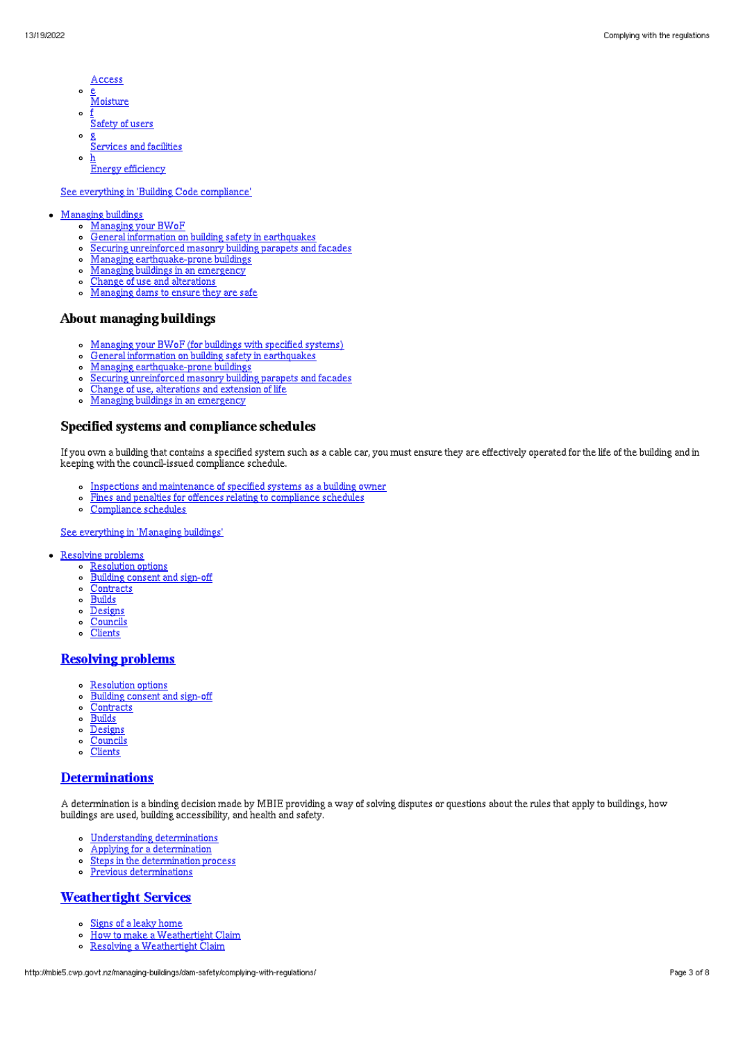- Access
- $\circ$ <u>e</u><br>Moisture
- $\sim$ f Safety of users
- $\circ$ g Services and facilities
- $\circ$ h **Energy efficiency**

#### See everything in 'Building Code [compliance](http://mbie5.cwp.govt.nz/building-code-compliance/)'

### [Managing](http://mbie5.cwp.govt.nz/managing-buildings/) buildings

- [Managing](http://mbie5.cwp.govt.nz/managing-buildings/managing-your-bwof/) your BWoF
- General information on building safety in [earthquakes](http://mbie5.cwp.govt.nz/managing-buildings/building-safety-in-earthquakes/)  $\circ$
- Securing [unreinforced](http://mbie5.cwp.govt.nz/managing-buildings/unreinforced-masonry/) masonry building parapets and facades  $\circ$
- Managing [earthquake-prone](http://mbie5.cwp.govt.nz/managing-buildings/managing-earthquake-prone-buildings/) buildings
- Managing buildings in an [emergency](http://mbie5.cwp.govt.nz/managing-buildings/managing-buildings-in-an-emergency/)  $\circ$
- Change of use and [alterations](http://mbie5.cwp.govt.nz/managing-buildings/change-of-use-and-alterations/)  $\circ$
- [Managing](http://mbie5.cwp.govt.nz/managing-buildings/dam-safety/) dams to ensure they are safe

### About managing buildings

- [Managing](http://mbie5.cwp.govt.nz/managing-buildings/managing-your-bwof/) your BWoF (for buildings with specified systems)
- $\circ$ General information on building safety in [earthquakes](http://mbie5.cwp.govt.nz/managing-buildings/building-safety-in-earthquakes/)
- Managing [earthquake-prone](http://mbie5.cwp.govt.nz/managing-buildings/managing-earthquake-prone-buildings/) buildings  $\circ$
- Securing [unreinforced](http://mbie5.cwp.govt.nz/managing-buildings/unreinforced-masonry/) masonry building parapets and facades
- Change of use, [alterations](http://mbie5.cwp.govt.nz/managing-buildings/change-of-use-and-alterations/) and extension of life  $\circ$
- Managing buildings in an [emergency](http://mbie5.cwp.govt.nz/managing-buildings/managing-buildings-in-an-emergency/)  $\circ$

### Specified systems and compliance schedules

If you own a building that contains a specified system such as a cable car, you must ensure they are effectively operated for the life of the building and in keeping with the council-issued compliance schedule.

- o Inspections and [maintenance](http://mbie5.cwp.govt.nz/managing-buildings/managing-your-bwof/inspections-and-maintenance/) of specified systems as a building owner
- Fines and penalties for offences relating to [compliance](http://mbie5.cwp.govt.nz/managing-buildings/managing-your-bwof/fines-and-penalties/) schedules  $\Omega$
- [Compliance](http://mbie5.cwp.govt.nz/projects-and-consents/sign-off-and-maintenance/completing-your-project/compliance-schedules/) schedules  $\circ$

#### See [everything](http://mbie5.cwp.govt.nz/managing-buildings/) in 'Managing buildings'

- [Resolving](http://mbie5.cwp.govt.nz/resolving-problems/) problems
	- [Resolution](http://mbie5.cwp.govt.nz/resolving-problems/resolution-options/) options
	- [Building](http://mbie5.cwp.govt.nz/resolving-problems/building-consent-and-sign-off/) consent and sign-off
	- o [Contracts](http://mbie5.cwp.govt.nz/resolving-problems/contracts/)
	- o [Builds](http://mbie5.cwp.govt.nz/resolving-problems/builds/)
	- o [Designs](http://mbie5.cwp.govt.nz/resolving-problems/designs/)
	- [Councils](http://mbie5.cwp.govt.nz/resolving-problems/councils/)
	- o [Clients](http://mbie5.cwp.govt.nz/resolving-problems/clients/)

## [Resolving](http://mbie5.cwp.govt.nz/resolving-problems/) problems

- [Resolution](http://mbie5.cwp.govt.nz/resolving-problems/resolution-options/) options
- [Building](http://mbie5.cwp.govt.nz/resolving-problems/building-consent-and-sign-off/) consent and sign-off  $\circ$
- $\circ$ **[Contracts](http://mbie5.cwp.govt.nz/resolving-problems/contracts/)**
- $\circ$ **[Builds](http://mbie5.cwp.govt.nz/resolving-problems/builds/)**
- $\circ$ [Designs](http://mbie5.cwp.govt.nz/resolving-problems/designs/)
- [Councils](http://mbie5.cwp.govt.nz/resolving-problems/councils/)  $\circ$  $\circ$
- **[Clients](http://mbie5.cwp.govt.nz/resolving-problems/clients/)**

### **[Determinations](http://mbie5.cwp.govt.nz/resolving-problems/resolution-options/determinations/)**

A determination is a binding decision made by MBIE providing a way of solving disputes or questions about the rules that apply to buildings, how buildings are used, building accessibility, and health and safety.

- Understanding [determinations](http://mbie5.cwp.govt.nz/resolving-problems/resolution-options/determinations/)
- Applying for a [determination](http://mbie5.cwp.govt.nz/resolving-problems/resolution-options/determinations/applying-for-a-determination/)  $\circ$
- Steps in the [determination](http://mbie5.cwp.govt.nz/resolving-problems/resolution-options/determinations/steps-in-the-determination-process/) process  $\circ$
- Previous [determinations](http://mbie5.cwp.govt.nz/resolving-problems/resolution-options/determinations/determinations-issued/)  $\circ$

## [Weathertight](http://mbie5.cwp.govt.nz/resolving-problems/resolution-options/weathertight-services/) Services

- Signs of a leaky [home](http://mbie5.cwp.govt.nz/resolving-problems/resolution-options/weathertight-services/signs-of-a-leaky-home/)  $\circ$
- How to make a [Weathertight](http://mbie5.cwp.govt.nz/resolving-problems/resolution-options/weathertight-services/make-a-weathertight-home-claim/) Claim  $\circ$
- Resolving a [Weathertight](http://mbie5.cwp.govt.nz/resolving-problems/resolution-options/weathertight-services/resolving-a-claim/) Claim  $\circ$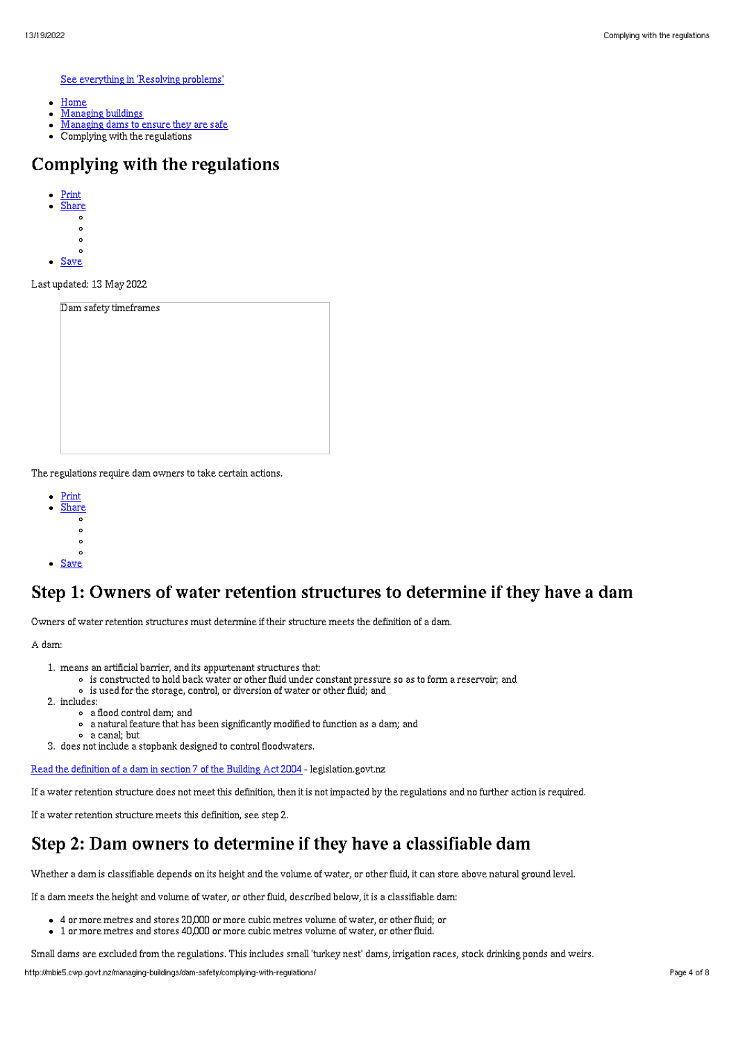See [everything](http://mbie5.cwp.govt.nz/resolving-problems/) in 'Resolving problems'

- [Home](http://mbie5.cwp.govt.nz/)  $\bullet$
- [Managing](http://mbie5.cwp.govt.nz/managing-buildings/) buildings
- [Managing](http://mbie5.cwp.govt.nz/managing-buildings/dam-safety/) dams to ensure they are safe
- Complying with the regulations

# Complying with the regulations

- [Print](http://mbie5.cwp.govt.nz/#)
	- [Share](http://mbie5.cwp.govt.nz/#)
	- $\circ$
	-
	- $\circ$
- **[Save](http://mbie5.cwp.govt.nz/managing-buildings/dam-safety/complying-with-regulations/downloadpdf)**

Last updated: 13 May 2022

| Dam safety timeframes |  |  |
|-----------------------|--|--|
|                       |  |  |
|                       |  |  |
|                       |  |  |
|                       |  |  |
|                       |  |  |
|                       |  |  |
|                       |  |  |
|                       |  |  |

The regulations require dam owners to take certain actions.

- [Print](http://mbie5.cwp.govt.nz/#)
- **[Share](http://mbie5.cwp.govt.nz/#)**  $\circ$ 
	- $\sim$
	- $\circ$
	-

[Save](http://mbie5.cwp.govt.nz/managing-buildings/dam-safety/complying-with-regulations/downloadpdf)

# Step 1: Owners of water retention structures to determine if they have a dam

Owners of water retention structures must determine if their structure meets the definition of a dam.

A dam:

- 1. means an artificial barrier, and its appurtenant structures that:
	- is constructed to hold back water or other fluid under constant pressure so as to form a reservoir; and
	- is used for the storage, control, or diversion of water or other fluid; and
- 2. includes:
	- a flood control dam; and
	- a natural feature that has been significantly modified to function as a dam; and
	- a canal; but
- 3. does not include a stopbank designed to control floodwaters.

Read the [definition](https://www.legislation.govt.nz/act/public/2004/0072/latest/DLM306054.html) of a dam in section 7 of the Building Act 2004 - legislation.govt.nz

If a water retention structure does not meet this definition, then it is not impacted by the regulations and no further action is required.

If a water retention structure meets this definition, see step 2.

# Step 2: Dam owners to determine if they have a classifiable dam

Whether a dam is classifiable depends on its height and the volume of water, or other fluid, it can store above natural ground level.

If a dam meets the height and volume of water, or other fluid, described below, it is a classifiable dam:

- 4 or more metres and stores 20,000 or more cubic metres volume of water, or other fluid; or
- 1 or more metres and stores 40,000 or more cubic metres volume of water, or other fluid.

Small dams are excluded from the regulations. This includes small 'turkey nest' dams, irrigation races, stock drinking ponds and weirs.

http://mbie5.cwp.govt.nz/managing-buildings/dam-safety/complying-with-regulations/ Page 4 of 8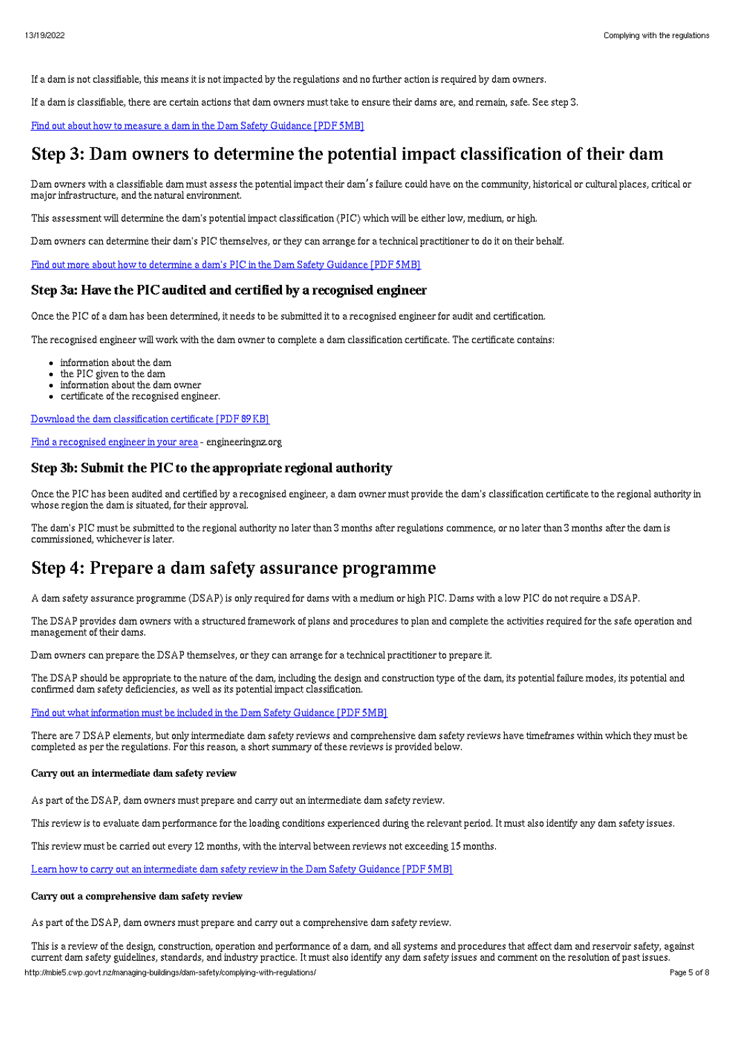If a dam is not classifiable, this means it is not impacted by the regulations and no further action is required by dam owners.

If a dam is classifiable, there are certain actions that dam owners must take to ensure their dams are, and remain, safe. See step 3.

Find out about how to measure a dam in the Dam Safety [Guidance](http://mbie5.cwp.govt.nz/assets/Uploads/managing-buildings/building-safety/dam-safety-guidance.pdf) [PDF 5MB]

## Step 3: Dam owners to determine the potential impact classification of their dam

Dam owners with a classifiable dam must assess the potential impact their dam's failure could have on the community, historical or cultural places, critical or major infrastructure, and the natural environment.

This assessment will determine the dam's potential impact classification (PIC) which will be either low, medium, or high.

Dam owners can determine their dam's PIC themselves, or they can arrange for a technical practitioner to do it on their behalf.

Find out more about how to [determine](http://mbie5.cwp.govt.nz/assets/Uploads/managing-buildings/building-safety/dam-safety-guidance.pdf) a dam's PIC in the Dam Safety Guidance [PDF 5MB]

### Step 3a: Have the PIC audited and certified by a recognised engineer

Once the PIC of a dam has been determined, it needs to be submitted it to a recognised engineer for audit and certification.

The recognised engineer will work with the dam owner to complete a dam classification certificate. The certificate contains:

- information about the dam
- the PIC given to the dam
- information about the dam owner
- certificate of the recognised engineer.

Download the dam [classification](http://mbie5.cwp.govt.nz/assets/Uploads/managing-buildings/building-safety/dam-classification-certificate.pdf) certificate [PDF 89KB]

Find a [recognised](https://www.engineeringnz.org/public-tools/find-engineer/) engineer in your area - engineeringnz.org

### Step 3b: Submit the PIC to the appropriate regional authority

Once the PIC has been audited and certified by a recognised engineer, a dam owner must provide the dam's classification certificate to the regional authority in whose region the dam is situated, for their approval.

The dam's PIC must be submitted to the regional authority no later than 3 months after regulations commence, or no later than 3 months after the dam is commissioned, whichever is later.

## Step 4: Prepare a dam safety assurance programme

A dam safety assurance programme (DSAP) is only required for dams with a medium or high PIC. Dams with a low PIC do not require a DSAP.

The DSAP provides dam owners with a structured framework of plans and procedures to plan and complete the activities required for the safe operation and management of their dams.

Dam owners can prepare the DSAP themselves, or they can arrange for a technical practitioner to prepare it.

The DSAP should be appropriate to the nature of the dam, including the design and construction type of the dam, its potential failure modes, its potential and confirmed dam safety deficiencies, as well as its potential impact classification.

Find out what [information](http://mbie5.cwp.govt.nz/assets/Uploads/managing-buildings/building-safety/dam-safety-guidance.pdf) must be included in the Dam Safety Guidance [PDF 5MB]

There are 7 DSAP elements, but only intermediate dam safety reviews and comprehensive dam safety reviews have timeframes within which they must be completed as per the regulations. For this reason, a short summary of these reviews is provided below.

#### Carry out an intermediate dam safety review

As part of the DSAP, dam owners must prepare and carry out an intermediate dam safety review.

This review is to evaluate dam performance for the loading conditions experienced during the relevant period. It must also identify any dam safety issues.

This review must be carried out every 12 months, with the interval between reviews not exceeding 15 months.

Learn how to carry out an [intermediate](http://mbie5.cwp.govt.nz/assets/Uploads/managing-buildings/building-safety/dam-safety-guidance.pdf) dam safety review in the Dam Safety Guidance [PDF 5MB]

#### Carry out a comprehensive dam safety review

As part of the DSAP, dam owners must prepare and carry out a comprehensive dam safety review.

This is a review of the design, construction, operation and performance of a dam, and all systems and procedures that affect dam and reservoir safety, against current dam safety guidelines, standards, and industry practice. It must also identify any dam safety issues and comment on the resolution of past issues. http://mbie5.cwp.govt.nz/managing-buildings/dam-safety/complying-with-regulations/ Page 5 of 8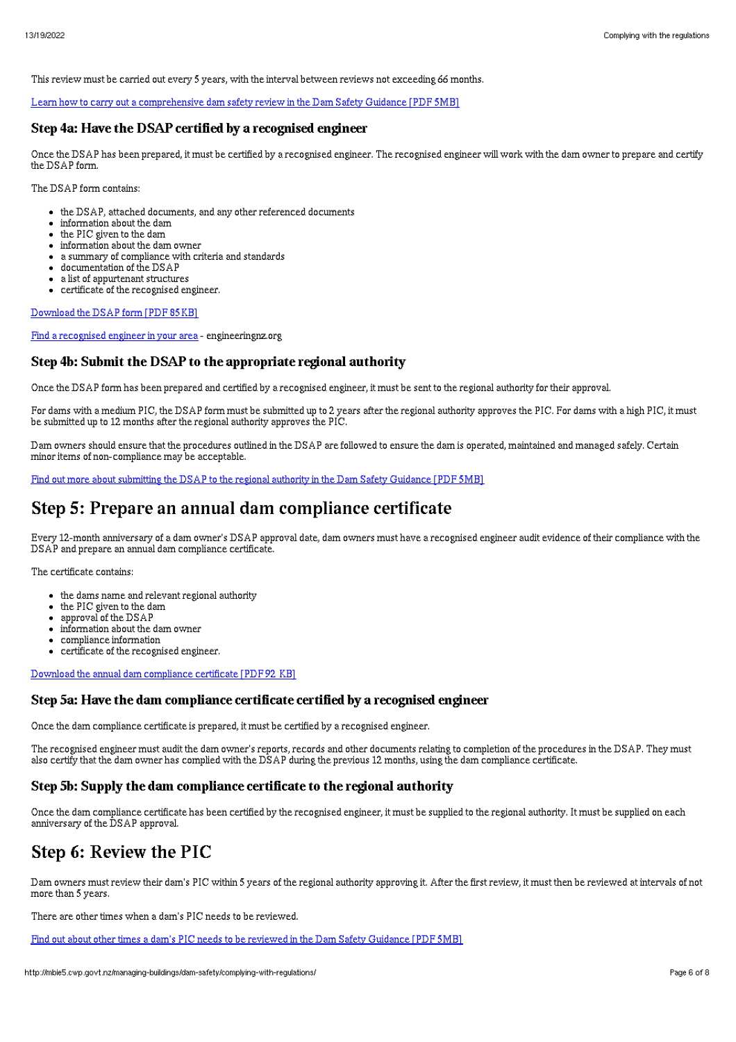This review must be carried out every 5 years, with the interval between reviews not exceeding 66 months.

Learn how to carry out a [comprehensive](http://mbie5.cwp.govt.nz/assets/Uploads/managing-buildings/building-safety/dam-safety-guidance.pdf) dam safety review in the Dam Safety Guidance [PDF 5MB]

### Step 4a: Have the DSAP certified by a recognised engineer

Once the DSAP has been prepared, it must be certified by a recognised engineer. The recognised engineer will work with the dam owner to prepare and certify the DSAP form.

The DSAP form contains:

- the DSAP, attached documents, and any other referenced documents
- information about the dam
- the PIC given to the dam
- information about the dam owner
- a summary of compliance with criteria and standards
- documentation of the DSAP
- a list of appurtenant structures certificate of the recognised engineer.

[Download](http://mbie5.cwp.govt.nz/assets/Uploads/managing-buildings/building-safety/dam-safety-assurance-programme.pdf) the DSAP form [PDF 85KB]

Find a [recognised](https://www.engineeringnz.org/public-tools/find-engineer/) engineer in your area - engineeringnz.org

### Step 4b: Submit the DSAP to the appropriate regional authority

Once the DSAP form has been prepared and certified by a recognised engineer, it must be sent to the regional authority for their approval.

For dams with a medium PIC, the DSAP form must be submitted up to 2 years after the regional authority approves the PIC. For dams with a high PIC, it must be submitted up to 12 months after the regional authority approves the PIC.

Dam owners should ensure that the procedures outlined in the DSAP are followed to ensure the dam is operated, maintained and managed safely. Certain minor items of non-compliance may be acceptable.

Find out more about [submitting](http://mbie5.cwp.govt.nz/assets/Uploads/managing-buildings/building-safety/dam-safety-guidance.pdf) the DSAP to the regional authority in the Dam Safety Guidance [PDF 5MB]

# Step 5: Prepare an annual dam compliance certificate

Every 12-month anniversary of a dam owner's DSAP approval date, dam owners must have a recognised engineer audit evidence of their compliance with the DSAP and prepare an annual dam compliance certificate.

The certificate contains:

- the dams name and relevant regional authority
- the PIC given to the dam
- approval of the DSAP
- information about the dam owner
- compliance information
- certificate of the recognised engineer.

Download the annual dam [compliance](http://mbie5.cwp.govt.nz/assets/Uploads/managing-buildings/building-safety/annual-dam-compliance-certificate.pdf) certificate [PDF 92 KB]

### Step 5a: Have the dam compliance certificate certified by a recognised engineer

Once the dam compliance certificate is prepared, it must be certified by a recognised engineer.

The recognised engineer must audit the dam owner's reports, records and other documents relating to completion of the procedures in the DSAP. They must also certify that the dam owner has complied with the DSAP during the previous 12 months, using the dam compliance certificate.

### Step 5b: Supply the dam compliance certificate to the regional authority

Once the dam compliance certificate has been certified by the recognised engineer, it must be supplied to the regional authority. It must be supplied on each anniversary of the DSAP approval.

# Step 6: Review the PIC

Dam owners must review their dam's PIC within 5 years of the regional authority approving it. After the first review, it must then be reviewed at intervals of not more than 5 years.

There are other times when a dam's PIC needs to be reviewed.

Find out about other times a dam's PIC needs to be reviewed in the Dam Safety [Guidance](http://mbie5.cwp.govt.nz/assets/Uploads/managing-buildings/building-safety/dam-safety-guidance.pdf) [PDF 5MB]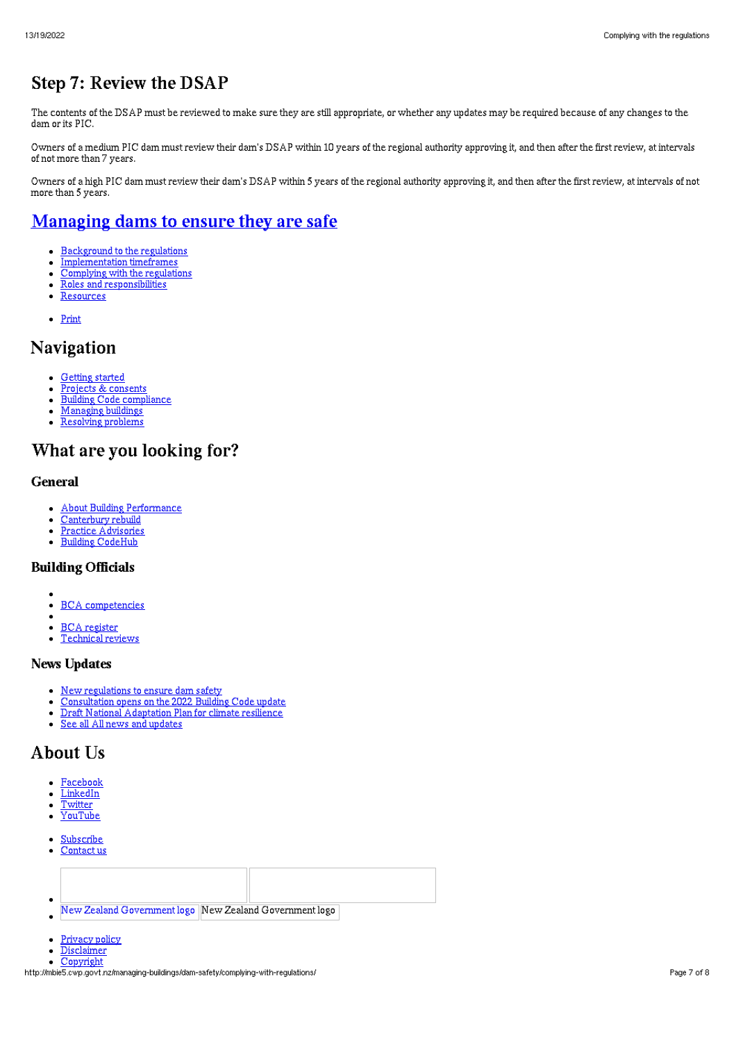# Step 7: Review the DSAP

The contents of the DSAP must be reviewed to make sure they are still appropriate, or whether any updates may be required because of any changes to the dam or its PIC.

Owners of a medium PIC dam must review their dam's DSAP within 10 years of the regional authority approving it, and then after the first review, at intervals of not more than 7 years.

Owners of a high PIC dam must review their dam's DSAP within 5 years of the regional authority approving it, and then after the first review, at intervals of not more than 5 years.

# [Managing](http://mbie5.cwp.govt.nz/managing-buildings/dam-safety/) dams to ensure they are safe

- [Background](http://mbie5.cwp.govt.nz/managing-buildings/dam-safety/regulations-background/) to the regulations  $\bullet$
- $\bullet$ [Implementation](http://mbie5.cwp.govt.nz/managing-buildings/dam-safety/implementation-timeframes/) timeframes
- $\bullet$ [Complying](http://mbie5.cwp.govt.nz/managing-buildings/dam-safety/complying-with-regulations/) with the regulations
- Roles and [responsibilities](http://mbie5.cwp.govt.nz/managing-buildings/dam-safety/roles-and-responsibilities/)  $\bullet$
- [Resources](http://mbie5.cwp.govt.nz/managing-buildings/dam-safety/resources/)  $\bullet$
- [Print](http://mbie5.cwp.govt.nz/#)

## Navigation

- $\bullet$ [Getting](http://mbie5.cwp.govt.nz/getting-started/) started
- Projects & [consents](http://mbie5.cwp.govt.nz/projects-and-consents/)  $\bullet$
- Building Code [compliance](http://mbie5.cwp.govt.nz/building-code-compliance/)  $\bullet$ [Managing](http://mbie5.cwp.govt.nz/managing-buildings/) buildings  $\bullet$
- $\bullet$ [Resolving](http://mbie5.cwp.govt.nz/resolving-problems/) problems
- 

# What are you looking for?

### General

- About Building [Performance](http://mbie5.cwp.govt.nz/about-building-performance/)  $\bullet$
- [Canterbury](http://mbie5.cwp.govt.nz/building-code-compliance/canterbury-rebuild/) rebuild  $\bullet$
- Practice [Advisories](http://mbie5.cwp.govt.nz/search/?keyword=practice+advisory&search=) Building [CodeHub](https://codehub.building.govt.nz)

# Building Officials

- 
- BCA [competencies](http://mbie5.cwp.govt.nz/building-officials/national-bca-competency-assessment-system/)  $\bullet$
- BCA [register](http://mbie5.cwp.govt.nz/building-officials/find-a-bca/)
- [Technical](http://mbie5.cwp.govt.nz/building-officials/technical-reviews/) reviews

### News Updates

- New [regulations](http://mbie5.cwp.govt.nz/about-building-performance/all-news-and-updates/new-regulations-to-ensure-dam-safety/) to ensure dam safety
- [Consultation](http://mbie5.cwp.govt.nz/about-building-performance/all-news-and-updates/consultation-opens-on-the-2022-building-code-update/) opens on the 2022 Building Code update  $\bullet$
- Draft National [Adaptation](http://mbie5.cwp.govt.nz/about-building-performance/all-news-and-updates/draft-national-adaptation-plan-consultation/) Plan for climate resilience  $\bullet$
- See all All news and [updates](http://mbie5.cwp.govt.nz/about-building-performance/all-news-and-updates/)  $\bullet$

# About Us

- $\bullet$ [Facebook](https://www.facebook.com/MBIEgovtNZ)
- $\bullet$ [LinkedIn](https://www.linkedin.com/company/ministry-of-business-innovation-and-employment)
- **[Twitter](https://twitter.com/mbiegovtnz)**  $\bullet$
- [YouTube](https://www.youtube.com/user/dbhnewzealand)
- **[Subscribe](https://confirmsubscription.com/h/r/7BC65D75D18899C62540EF23F30FEDED)**  $\bullet$
- $\bullet$ [Contact](http://mbie5.cwp.govt.nz/about-building-performance/contact-us/) us



- 
- [Privacy](http://mbie5.cwp.govt.nz/about-building-performance/privacy-policy/) policy  $\bullet$
- $\bullet$ [Disclaimer](http://mbie5.cwp.govt.nz/about-building-performance/disclaimer/)
- **[Copyright](http://mbie5.cwp.govt.nz/about-building-performance/copyright/)**

http://mbie5.cwp.govt.nz/managing-buildings/dam-safety/complying-with-regulations/ Page 7 of 8